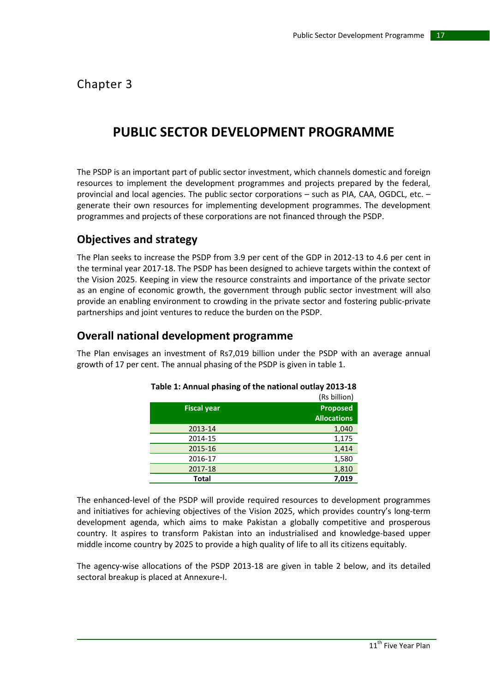Chapter 3

# **PUBLIC SECTOR DEVELOPMENT PROGRAMME**

The PSDP is an important part of public sector investment, which channels domestic and foreign resources to implement the development programmes and projects prepared by the federal, provincial and local agencies. The public sector corporations – such as PIA, CAA, OGDCL, etc. – generate their own resources for implementing development programmes. The development programmes and projects of these corporations are not financed through the PSDP.

## **Objectives and strategy**

The Plan seeks to increase the PSDP from 3.9 per cent of the GDP in 2012-13 to 4.6 per cent in the terminal year 2017-18. The PSDP has been designed to achieve targets within the context of the Vision 2025. Keeping in view the resource constraints and importance of the private sector as an engine of economic growth, the government through public sector investment will also provide an enabling environment to crowding in the private sector and fostering public-private partnerships and joint ventures to reduce the burden on the PSDP.

### **Overall national development programme**

The Plan envisages an investment of Rs7,019 billion under the PSDP with an average annual growth of 17 per cent. The annual phasing of the PSDP is given in table 1.

|                    | (Rs billion)                          |
|--------------------|---------------------------------------|
| <b>Fiscal year</b> | <b>Proposed</b><br><b>Allocations</b> |
| 2013-14            | 1,040                                 |
| 2014-15            | 1,175                                 |
| 2015-16            | 1,414                                 |
| 2016-17            | 1,580                                 |
| 2017-18            | 1,810                                 |
| <b>Total</b>       | 7.019                                 |

| Table 1: Annual phasing of the national outlay 2013-18 |  |  |  |  |  |
|--------------------------------------------------------|--|--|--|--|--|
|--------------------------------------------------------|--|--|--|--|--|

The enhanced-level of the PSDP will provide required resources to development programmes and initiatives for achieving objectives of the Vision 2025, which provides country's long-term development agenda, which aims to make Pakistan a globally competitive and prosperous country. It aspires to transform Pakistan into an industrialised and knowledge-based upper middle income country by 2025 to provide a high quality of life to all its citizens equitably.

The agency-wise allocations of the PSDP 2013-18 are given in table 2 below, and its detailed sectoral breakup is placed at Annexure-I.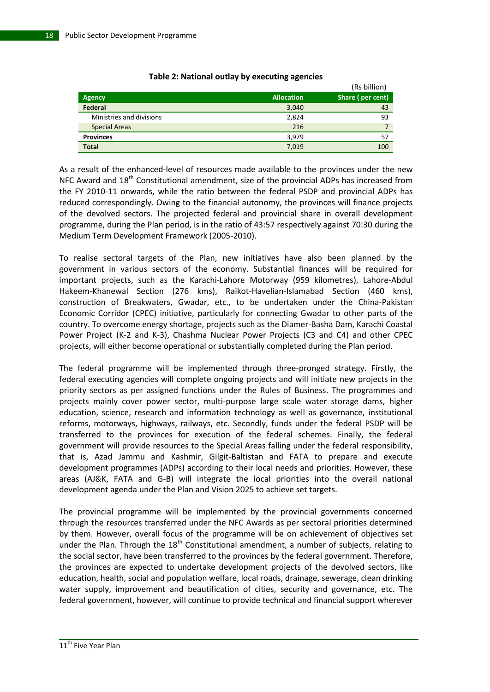|                          |                   | (Rs billion)     |
|--------------------------|-------------------|------------------|
| <b>Agency</b>            | <b>Allocation</b> | Share (per cent) |
| Federal                  | 3,040             | 43               |
| Ministries and divisions | 2,824             | 93               |
| <b>Special Areas</b>     | 216               |                  |
| <b>Provinces</b>         | 3,979             | 57               |
| <b>Total</b>             | 7,019             | 100              |

### **Table 2: National outlay by executing agencies**

As a result of the enhanced-level of resources made available to the provinces under the new NFC Award and 18<sup>th</sup> Constitutional amendment, size of the provincial ADPs has increased from the FY 2010-11 onwards, while the ratio between the federal PSDP and provincial ADPs has reduced correspondingly. Owing to the financial autonomy, the provinces will finance projects of the devolved sectors. The projected federal and provincial share in overall development programme, during the Plan period, is in the ratio of 43:57 respectively against 70:30 during the Medium Term Development Framework (2005-2010).

To realise sectoral targets of the Plan, new initiatives have also been planned by the government in various sectors of the economy. Substantial finances will be required for important projects, such as the Karachi-Lahore Motorway (959 kilometres), Lahore-Abdul Hakeem-Khanewal Section (276 kms), Raikot-Havelian-Islamabad Section (460 kms), construction of Breakwaters, Gwadar, etc., to be undertaken under the China-Pakistan Economic Corridor (CPEC) initiative, particularly for connecting Gwadar to other parts of the country. To overcome energy shortage, projects such as the Diamer-Basha Dam, Karachi Coastal Power Project (K-2 and K-3), Chashma Nuclear Power Projects (C3 and C4) and other CPEC projects, will either become operational or substantially completed during the Plan period.

The federal programme will be implemented through three-pronged strategy. Firstly, the federal executing agencies will complete ongoing projects and will initiate new projects in the priority sectors as per assigned functions under the Rules of Business. The programmes and projects mainly cover power sector, multi-purpose large scale water storage dams, higher education, science, research and information technology as well as governance, institutional reforms, motorways, highways, railways, etc. Secondly, funds under the federal PSDP will be transferred to the provinces for execution of the federal schemes. Finally, the federal government will provide resources to the Special Areas falling under the federal responsibility, that is, Azad Jammu and Kashmir, Gilgit-Baltistan and FATA to prepare and execute development programmes (ADPs) according to their local needs and priorities. However, these areas (AJ&K, FATA and G-B) will integrate the local priorities into the overall national development agenda under the Plan and Vision 2025 to achieve set targets.

The provincial programme will be implemented by the provincial governments concerned through the resources transferred under the NFC Awards as per sectoral priorities determined by them. However, overall focus of the programme will be on achievement of objectives set under the Plan. Through the  $18<sup>th</sup>$  Constitutional amendment, a number of subjects, relating to the social sector, have been transferred to the provinces by the federal government. Therefore, the provinces are expected to undertake development projects of the devolved sectors, like education, health, social and population welfare, local roads, drainage, sewerage, clean drinking water supply, improvement and beautification of cities, security and governance, etc. The federal government, however, will continue to provide technical and financial support wherever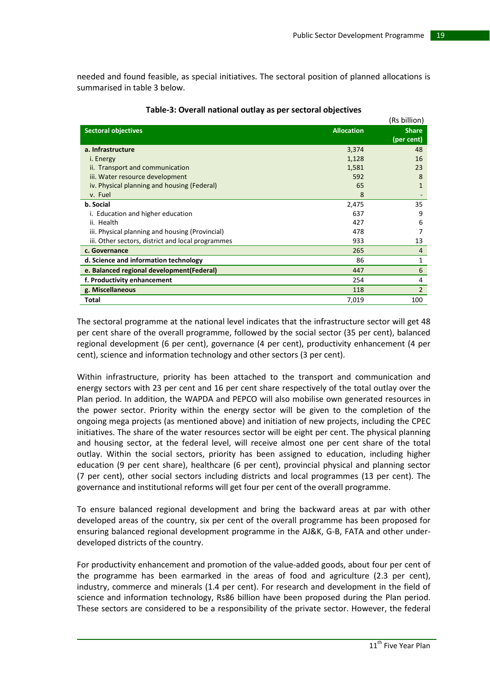needed and found feasible, as special initiatives. The sectoral position of planned allocations is summarised in table 3 below.

|                                                   |                   | (Rs billion)               |
|---------------------------------------------------|-------------------|----------------------------|
| <b>Sectoral objectives</b>                        | <b>Allocation</b> | <b>Share</b><br>(per cent) |
| a. Infrastructure                                 | 3,374             | 48                         |
| i. Energy                                         | 1,128             | 16                         |
| ii. Transport and communication                   | 1,581             | 23                         |
| iii. Water resource development                   | 592               | 8                          |
| iv. Physical planning and housing (Federal)       | 65                | 1                          |
| v. Fuel                                           | 8                 |                            |
| b. Social                                         | 2,475             | 35                         |
| i. Education and higher education                 | 637               | 9                          |
| ii. Health                                        | 427               | 6                          |
| iii. Physical planning and housing (Provincial)   | 478               |                            |
| iii. Other sectors, district and local programmes | 933               | 13                         |
| c. Governance                                     | 265               | 4                          |
| d. Science and information technology             | 86                | 1                          |
| e. Balanced regional development (Federal)        | 447               | 6                          |
| f. Productivity enhancement                       | 254               | 4                          |
| g. Miscellaneous                                  | 118               | $\overline{2}$             |
| Total                                             | 7,019             | 100                        |

### **Table-3: Overall national outlay as per sectoral objectives**

The sectoral programme at the national level indicates that the infrastructure sector will get 48 per cent share of the overall programme, followed by the social sector (35 per cent), balanced regional development (6 per cent), governance (4 per cent), productivity enhancement (4 per cent), science and information technology and other sectors (3 per cent).

Within infrastructure, priority has been attached to the transport and communication and energy sectors with 23 per cent and 16 per cent share respectively of the total outlay over the Plan period. In addition, the WAPDA and PEPCO will also mobilise own generated resources in the power sector. Priority within the energy sector will be given to the completion of the ongoing mega projects (as mentioned above) and initiation of new projects, including the CPEC initiatives. The share of the water resources sector will be eight per cent. The physical planning and housing sector, at the federal level, will receive almost one per cent share of the total outlay. Within the social sectors, priority has been assigned to education, including higher education (9 per cent share), healthcare (6 per cent), provincial physical and planning sector (7 per cent), other social sectors including districts and local programmes (13 per cent). The governance and institutional reforms will get four per cent of the overall programme.

To ensure balanced regional development and bring the backward areas at par with other developed areas of the country, six per cent of the overall programme has been proposed for ensuring balanced regional development programme in the AJ&K, G-B, FATA and other underdeveloped districts of the country.

For productivity enhancement and promotion of the value-added goods, about four per cent of the programme has been earmarked in the areas of food and agriculture (2.3 per cent), industry, commerce and minerals (1.4 per cent). For research and development in the field of science and information technology, Rs86 billion have been proposed during the Plan period. These sectors are considered to be a responsibility of the private sector. However, the federal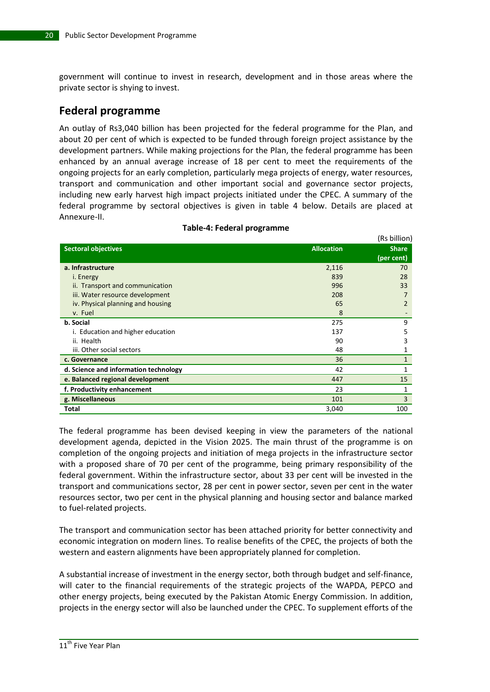government will continue to invest in research, development and in those areas where the private sector is shying to invest.

### **Federal programme**

An outlay of Rs3,040 billion has been projected for the federal programme for the Plan, and about 20 per cent of which is expected to be funded through foreign project assistance by the development partners. While making projections for the Plan, the federal programme has been enhanced by an annual average increase of 18 per cent to meet the requirements of the ongoing projects for an early completion, particularly mega projects of energy, water resources, transport and communication and other important social and governance sector projects, including new early harvest high impact projects initiated under the CPEC. A summary of the federal programme by sectoral objectives is given in table 4 below. Details are placed at Annexure-II.

|                                       |                   | ן הטווווטוון ( |
|---------------------------------------|-------------------|----------------|
| <b>Sectoral objectives</b>            | <b>Allocation</b> | <b>Share</b>   |
|                                       |                   | (per cent)     |
| a. Infrastructure                     | 2,116             | 70             |
| i. Energy                             | 839               | 28             |
| ii. Transport and communication       | 996               | 33             |
| iii. Water resource development       | 208               |                |
| iv. Physical planning and housing     | 65                | 2              |
| v. Fuel                               | 8                 |                |
| b. Social                             | 275               | 9              |
| i. Education and higher education     | 137               | 5              |
| ii. Health                            | 90                | 3              |
| iii. Other social sectors             | 48                | 1              |
| c. Governance                         | 36                | 1              |
| d. Science and information technology | 42                | 1              |
| e. Balanced regional development      | 447               | 15             |
| f. Productivity enhancement           | 23                | 1              |
| g. Miscellaneous                      | 101               | 3              |
| Total                                 | 3,040             | 100            |

#### **Table-4: Federal programme**

 $(n + b)$ 

The federal programme has been devised keeping in view the parameters of the national development agenda, depicted in the Vision 2025. The main thrust of the programme is on completion of the ongoing projects and initiation of mega projects in the infrastructure sector with a proposed share of 70 per cent of the programme, being primary responsibility of the federal government. Within the infrastructure sector, about 33 per cent will be invested in the transport and communications sector, 28 per cent in power sector, seven per cent in the water resources sector, two per cent in the physical planning and housing sector and balance marked to fuel-related projects.

The transport and communication sector has been attached priority for better connectivity and economic integration on modern lines. To realise benefits of the CPEC, the projects of both the western and eastern alignments have been appropriately planned for completion.

A substantial increase of investment in the energy sector, both through budget and self-finance, will cater to the financial requirements of the strategic projects of the WAPDA, PEPCO and other energy projects, being executed by the Pakistan Atomic Energy Commission. In addition, projects in the energy sector will also be launched under the CPEC. To supplement efforts of the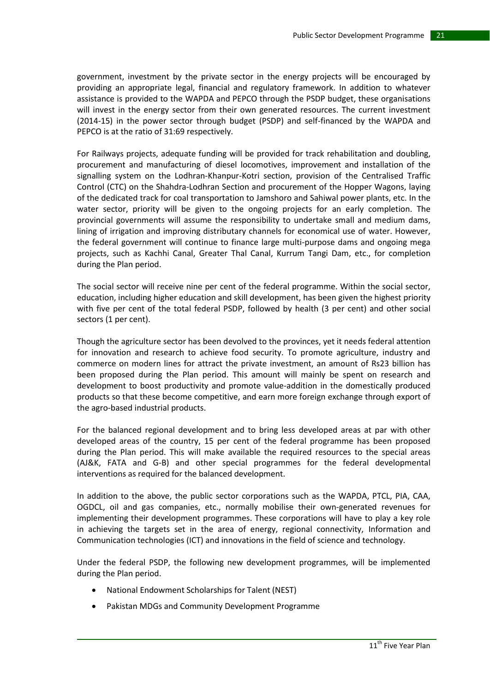government, investment by the private sector in the energy projects will be encouraged by providing an appropriate legal, financial and regulatory framework. In addition to whatever assistance is provided to the WAPDA and PEPCO through the PSDP budget, these organisations will invest in the energy sector from their own generated resources. The current investment (2014-15) in the power sector through budget (PSDP) and self-financed by the WAPDA and PEPCO is at the ratio of 31:69 respectively.

For Railways projects, adequate funding will be provided for track rehabilitation and doubling, procurement and manufacturing of diesel locomotives, improvement and installation of the signalling system on the Lodhran-Khanpur-Kotri section, provision of the Centralised Traffic Control (CTC) on the Shahdra-Lodhran Section and procurement of the Hopper Wagons, laying of the dedicated track for coal transportation to Jamshoro and Sahiwal power plants, etc. In the water sector, priority will be given to the ongoing projects for an early completion. The provincial governments will assume the responsibility to undertake small and medium dams, lining of irrigation and improving distributary channels for economical use of water. However, the federal government will continue to finance large multi-purpose dams and ongoing mega projects, such as Kachhi Canal, Greater Thal Canal, Kurrum Tangi Dam, etc., for completion during the Plan period.

The social sector will receive nine per cent of the federal programme. Within the social sector, education, including higher education and skill development, has been given the highest priority with five per cent of the total federal PSDP, followed by health (3 per cent) and other social sectors (1 per cent).

Though the agriculture sector has been devolved to the provinces, yet it needs federal attention for innovation and research to achieve food security. To promote agriculture, industry and commerce on modern lines for attract the private investment, an amount of Rs23 billion has been proposed during the Plan period. This amount will mainly be spent on research and development to boost productivity and promote value-addition in the domestically produced products so that these become competitive, and earn more foreign exchange through export of the agro-based industrial products.

For the balanced regional development and to bring less developed areas at par with other developed areas of the country, 15 per cent of the federal programme has been proposed during the Plan period. This will make available the required resources to the special areas (AJ&K, FATA and G-B) and other special programmes for the federal developmental interventions as required for the balanced development.

In addition to the above, the public sector corporations such as the WAPDA, PTCL, PIA, CAA, OGDCL, oil and gas companies, etc., normally mobilise their own-generated revenues for implementing their development programmes. These corporations will have to play a key role in achieving the targets set in the area of energy, regional connectivity, Information and Communication technologies (ICT) and innovations in the field of science and technology.

Under the federal PSDP, the following new development programmes, will be implemented during the Plan period.

- National Endowment Scholarships for Talent (NEST)
- Pakistan MDGs and Community Development Programme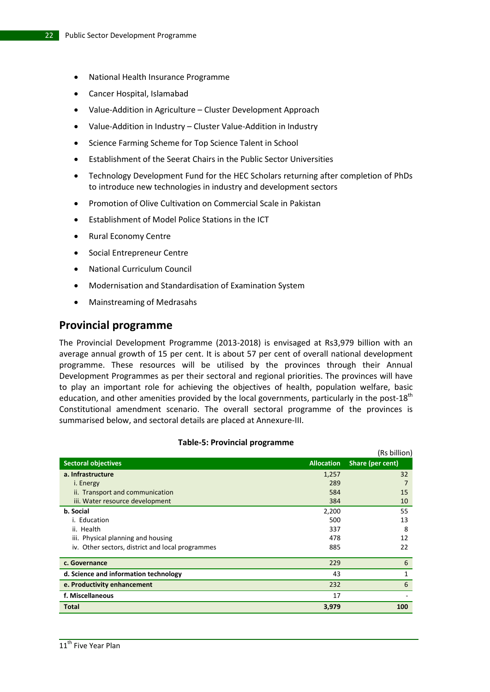- National Health Insurance Programme
- Cancer Hospital, Islamabad
- Value-Addition in Agriculture Cluster Development Approach
- Value-Addition in Industry Cluster Value-Addition in Industry
- Science Farming Scheme for Top Science Talent in School
- Establishment of the Seerat Chairs in the Public Sector Universities
- Technology Development Fund for the HEC Scholars returning after completion of PhDs to introduce new technologies in industry and development sectors
- Promotion of Olive Cultivation on Commercial Scale in Pakistan
- Establishment of Model Police Stations in the ICT
- Rural Economy Centre
- Social Entrepreneur Centre
- National Curriculum Council
- Modernisation and Standardisation of Examination System
- Mainstreaming of Medrasahs

### **Provincial programme**

The Provincial Development Programme (2013-2018) is envisaged at Rs3,979 billion with an average annual growth of 15 per cent. It is about 57 per cent of overall national development programme. These resources will be utilised by the provinces through their Annual Development Programmes as per their sectoral and regional priorities. The provinces will have to play an important role for achieving the objectives of health, population welfare, basic education, and other amenities provided by the local governments, particularly in the post- $18<sup>th</sup>$ Constitutional amendment scenario. The overall sectoral programme of the provinces is summarised below, and sectoral details are placed at Annexure-III.

|                                                  |                   | ן ווטווווט כח    |
|--------------------------------------------------|-------------------|------------------|
| <b>Sectoral objectives</b>                       | <b>Allocation</b> | Share (per cent) |
| a. Infrastructure                                | 1,257             | 32               |
| i. Energy                                        | 289               |                  |
| ii. Transport and communication                  | 584               | 15               |
| iii. Water resource development                  | 384               | 10               |
| b. Social                                        | 2,200             | 55               |
| i. Education                                     | 500               | 13               |
| ii. Health                                       | 337               | 8                |
| iii. Physical planning and housing               | 478               | 12               |
| iv. Other sectors, district and local programmes | 885               | 22               |
| c. Governance                                    | 229               | 6                |
| d. Science and information technology            | 43                | 1                |
| e. Productivity enhancement                      | 232               | 6                |
| f. Miscellaneous                                 | 17                |                  |
| Total                                            | 3,979             | 100              |

#### **Table-5: Provincial programme**

 $(Dn - b)$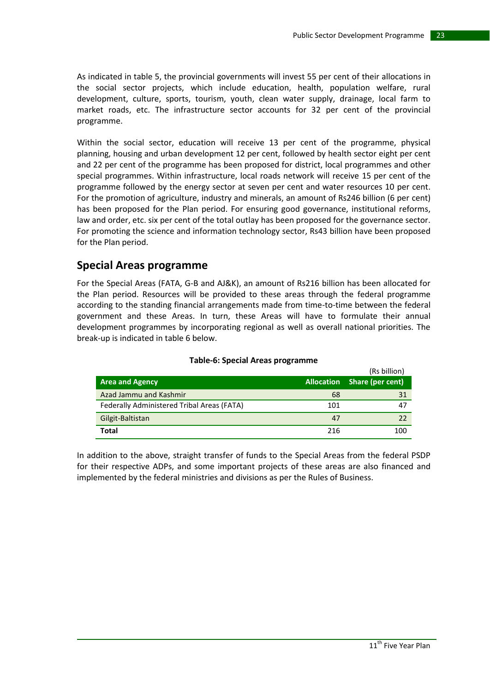As indicated in table 5, the provincial governments will invest 55 per cent of their allocations in the social sector projects, which include education, health, population welfare, rural development, culture, sports, tourism, youth, clean water supply, drainage, local farm to market roads, etc. The infrastructure sector accounts for 32 per cent of the provincial programme.

Within the social sector, education will receive 13 per cent of the programme, physical planning, housing and urban development 12 per cent, followed by health sector eight per cent and 22 per cent of the programme has been proposed for district, local programmes and other special programmes. Within infrastructure, local roads network will receive 15 per cent of the programme followed by the energy sector at seven per cent and water resources 10 per cent. For the promotion of agriculture, industry and minerals, an amount of Rs246 billion (6 per cent) has been proposed for the Plan period. For ensuring good governance, institutional reforms, law and order, etc. six per cent of the total outlay has been proposed for the governance sector. For promoting the science and information technology sector, Rs43 billion have been proposed for the Plan period.

### **Special Areas programme**

For the Special Areas (FATA, G-B and AJ&K), an amount of Rs216 billion has been allocated for the Plan period. Resources will be provided to these areas through the federal programme according to the standing financial arrangements made from time-to-time between the federal government and these Areas. In turn, these Areas will have to formulate their annual development programmes by incorporating regional as well as overall national priorities. The break-up is indicated in table 6 below.

|                                            |     | (RS DIIIION)                |
|--------------------------------------------|-----|-----------------------------|
| <b>Area and Agency</b>                     |     | Allocation Share (per cent) |
| Azad Jammu and Kashmir                     | 68  |                             |
| Federally Administered Tribal Areas (FATA) | 101 | 47                          |
| Gilgit-Baltistan                           | 47  |                             |
| Total                                      | 216 | 100                         |

### **Table-6: Special Areas programme**

In addition to the above, straight transfer of funds to the Special Areas from the federal PSDP for their respective ADPs, and some important projects of these areas are also financed and implemented by the federal ministries and divisions as per the Rules of Business.

 $(8.1 \cdot 10^{12} \cdot \text{V})$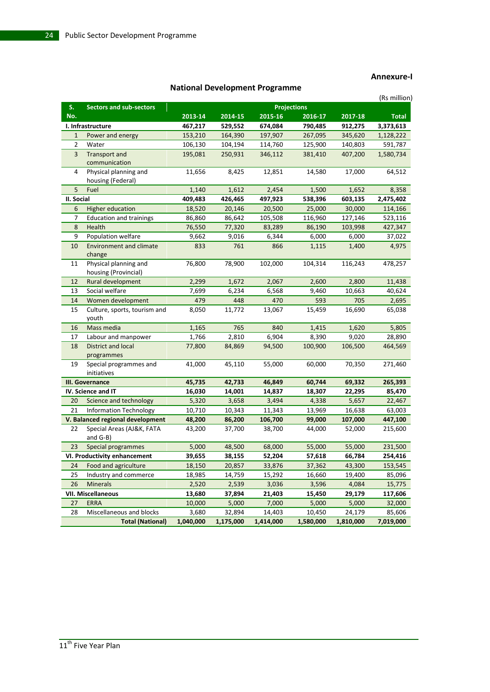### **Annexure-I**

|                |                                               |           |           |           |                    |           | (Rs million) |
|----------------|-----------------------------------------------|-----------|-----------|-----------|--------------------|-----------|--------------|
| S.             | <b>Sectors and sub-sectors</b>                |           |           |           | <b>Projections</b> |           |              |
| No.            |                                               | 2013-14   | 2014-15   | 2015-16   | 2016-17            | 2017-18   | <b>Total</b> |
|                | I. Infrastructure                             | 467,217   | 529,552   | 674,084   | 790,485            | 912,275   | 3,373,613    |
| $\mathbf{1}$   | Power and energy                              | 153,210   | 164,390   | 197,907   | 267,095            | 345,620   | 1,128,222    |
| 2              | Water                                         | 106,130   | 104,194   | 114,760   | 125,900            | 140,803   | 591,787      |
| $\overline{3}$ | Transport and<br>communication                | 195,081   | 250,931   | 346,112   | 381,410            | 407,200   | 1,580,734    |
| 4              | Physical planning and<br>housing (Federal)    | 11,656    | 8,425     | 12,851    | 14,580             | 17,000    | 64,512       |
| 5              | Fuel                                          | 1,140     | 1,612     | 2,454     | 1,500              | 1,652     | 8,358        |
| II. Social     |                                               | 409,483   | 426,465   | 497,923   | 538,396            | 603,135   | 2,475,402    |
| 6              | <b>Higher education</b>                       | 18,520    | 20,146    | 20,500    | 25,000             | 30,000    | 114,166      |
| 7              | <b>Education and trainings</b>                | 86,860    | 86,642    | 105,508   | 116,960            | 127,146   | 523,116      |
| 8              | Health                                        | 76,550    | 77,320    | 83,289    | 86,190             | 103,998   | 427,347      |
| 9              | Population welfare                            | 9,662     | 9,016     | 6,344     | 6,000              | 6,000     | 37,022       |
| 10             | <b>Environment and climate</b><br>change      | 833       | 761       | 866       | 1,115              | 1,400     | 4,975        |
| 11             | Physical planning and<br>housing (Provincial) | 76,800    | 78,900    | 102,000   | 104,314            | 116,243   | 478,257      |
| 12             | Rural development                             | 2,299     | 1,672     | 2,067     | 2,600              | 2,800     | 11,438       |
| 13             | Social welfare                                | 7,699     | 6,234     | 6,568     | 9,460              | 10,663    | 40,624       |
| 14             | Women development                             | 479       | 448       | 470       | 593                | 705       | 2,695        |
| 15             | Culture, sports, tourism and<br>youth         | 8,050     | 11,772    | 13,067    | 15,459             | 16,690    | 65,038       |
| 16             | Mass media                                    | 1,165     | 765       | 840       | 1,415              | 1,620     | 5,805        |
| 17             | Labour and manpower                           | 1,766     | 2,810     | 6,904     | 8,390              | 9,020     | 28,890       |
| 18             | District and local<br>programmes              | 77,800    | 84,869    | 94,500    | 100,900            | 106,500   | 464,569      |
| 19             | Special programmes and<br>initiatives         | 41,000    | 45,110    | 55,000    | 60,000             | 70,350    | 271,460      |
|                | III. Governance                               | 45,735    | 42,733    | 46,849    | 60,744             | 69,332    | 265,393      |
|                | IV. Science and IT                            | 16,030    | 14,001    | 14,837    | 18,307             | 22,295    | 85,470       |
| 20             | Science and technology                        | 5,320     | 3,658     | 3,494     | 4,338              | 5,657     | 22,467       |
| 21             | <b>Information Technology</b>                 | 10,710    | 10,343    | 11,343    | 13,969             | 16,638    | 63,003       |
|                | V. Balanced regional development              | 48,200    | 86,200    | 106,700   | 99,000             | 107,000   | 447,100      |
| 22             | Special Areas (AJ&K, FATA<br>and $G-B$ )      | 43,200    | 37,700    | 38,700    | 44,000             | 52,000    | 215,600      |
| 23             | Special programmes                            | 5,000     | 48,500    | 68,000    | 55,000             | 55,000    | 231,500      |
|                | VI. Productivity enhancement                  | 39,655    | 38,155    | 52,204    | 57,618             | 66,784    | 254,416      |
| 24             | Food and agriculture                          | 18,150    | 20,857    | 33,876    | 37,362             | 43,300    | 153,545      |
| 25             | Industry and commerce                         | 18,985    | 14,759    | 15,292    | 16,660             | 19,400    | 85,096       |
| 26             | <b>Minerals</b>                               | 2,520     | 2,539     | 3,036     | 3,596              | 4,084     | 15,775       |
|                | <b>VII. Miscellaneous</b>                     | 13,680    | 37,894    | 21,403    | 15,450             | 29,179    | 117,606      |
| 27             | <b>ERRA</b>                                   | 10,000    | 5,000     | 7,000     | 5,000              | 5,000     | 32,000       |
| 28             | Miscellaneous and blocks                      | 3,680     | 32,894    | 14,403    | 10,450             | 24,179    | 85,606       |
|                | <b>Total (National)</b>                       | 1,040,000 | 1,175,000 | 1,414,000 | 1,580,000          | 1,810,000 | 7,019,000    |

### **National Development Programme**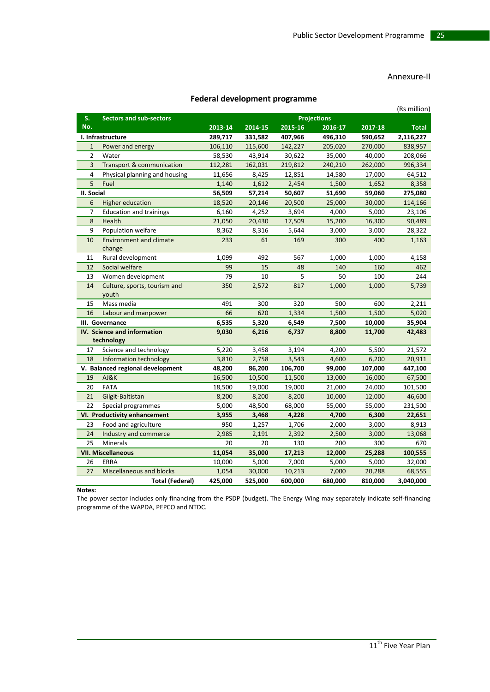### Annexure-II

### **Federal development programme**

|                |                                          | cacial acveibplifent programme |         |         |                    |         | (Rs million) |
|----------------|------------------------------------------|--------------------------------|---------|---------|--------------------|---------|--------------|
| S.             | <b>Sectors and sub-sectors</b>           |                                |         |         | <b>Projections</b> |         |              |
| No.            |                                          | 2013-14                        | 2014-15 | 2015-16 | 2016-17            | 2017-18 | <b>Total</b> |
|                | I. Infrastructure                        | 289,717                        | 331,582 | 407,966 | 496,310            | 590,652 | 2,116,227    |
| $\mathbf{1}$   | Power and energy                         | 106,110                        | 115,600 | 142,227 | 205,020            | 270,000 | 838,957      |
| $\overline{2}$ | Water                                    | 58,530                         | 43,914  | 30,622  | 35,000             | 40,000  | 208,066      |
| 3              | <b>Transport &amp; communication</b>     | 112,281                        | 162,031 | 219,812 | 240,210            | 262,000 | 996,334      |
| $\overline{4}$ | Physical planning and housing            | 11,656                         | 8,425   | 12,851  | 14,580             | 17,000  | 64,512       |
| 5              | Fuel                                     | 1,140                          | 1,612   | 2,454   | 1,500              | 1,652   | 8,358        |
| II. Social     |                                          | 56,509                         | 57,214  | 50,607  | 51,690             | 59,060  | 275,080      |
| 6              | <b>Higher education</b>                  | 18,520                         | 20,146  | 20,500  | 25,000             | 30,000  | 114,166      |
| 7              | <b>Education and trainings</b>           | 6,160                          | 4,252   | 3,694   | 4,000              | 5,000   | 23,106       |
| 8              | Health                                   | 21,050                         | 20,430  | 17,509  | 15,200             | 16,300  | 90,489       |
| 9              | Population welfare                       | 8,362                          | 8,316   | 5,644   | 3,000              | 3,000   | 28,322       |
| 10             | <b>Environment and climate</b><br>change | 233                            | 61      | 169     | 300                | 400     | 1,163        |
| 11             | Rural development                        | 1,099                          | 492     | 567     | 1,000              | 1,000   | 4,158        |
| 12             | Social welfare                           | 99                             | 15      | 48      | 140                | 160     | 462          |
| 13             | Women development                        | 79                             | 10      | 5       | 50                 | 100     | 244          |
| 14             | Culture, sports, tourism and<br>youth    | 350                            | 2,572   | 817     | 1,000              | 1,000   | 5,739        |
| 15             | Mass media                               | 491                            | 300     | 320     | 500                | 600     | 2,211        |
| 16             | Labour and manpower                      | 66                             | 620     | 1,334   | 1,500              | 1,500   | 5,020        |
|                | III. Governance                          | 6,535                          | 5,320   | 6,549   | 7,500              | 10,000  | 35,904       |
|                | IV. Science and information              | 9,030                          | 6,216   | 6,737   | 8,800              | 11,700  | 42,483       |
|                | technology                               |                                |         |         |                    |         |              |
| 17             | Science and technology                   | 5,220                          | 3,458   | 3,194   | 4,200              | 5,500   | 21,572       |
| 18             | Information technology                   | 3,810                          | 2,758   | 3,543   | 4,600              | 6,200   | 20,911       |
|                | V. Balanced regional development         | 48,200                         | 86,200  | 106,700 | 99,000             | 107,000 | 447,100      |
| 19             | AJ&K                                     | 16,500                         | 10,500  | 11,500  | 13,000             | 16,000  | 67,500       |
| 20             | <b>FATA</b>                              | 18,500                         | 19,000  | 19,000  | 21,000             | 24,000  | 101,500      |
| 21             | Gilgit-Baltistan                         | 8,200                          | 8,200   | 8,200   | 10,000             | 12,000  | 46,600       |
| 22             | Special programmes                       | 5,000                          | 48,500  | 68,000  | 55,000             | 55,000  | 231,500      |
|                | VI. Productivity enhancement             | 3,955                          | 3,468   | 4,228   | 4,700              | 6,300   | 22,651       |
| 23             | Food and agriculture                     | 950                            | 1,257   | 1,706   | 2,000              | 3,000   | 8,913        |
| 24             | Industry and commerce                    | 2,985                          | 2,191   | 2,392   | 2,500              | 3,000   | 13,068       |
| 25             | <b>Minerals</b>                          | 20                             | 20      | 130     | 200                | 300     | 670          |
|                | <b>VII. Miscellaneous</b>                | 11,054                         | 35,000  | 17,213  | 12,000             | 25,288  | 100,555      |
| 26             | ERRA                                     | 10,000                         | 5,000   | 7,000   | 5,000              | 5,000   | 32,000       |
| 27             | <b>Miscellaneous and blocks</b>          | 1,054                          | 30,000  | 10,213  | 7,000              | 20,288  | 68,555       |
|                | <b>Total (Federal)</b>                   | 425,000                        | 525,000 | 600,000 | 680,000            | 810,000 | 3,040,000    |

**Notes:**

The power sector includes only financing from the PSDP (budget). The Energy Wing may separately indicate self-financing programme of the WAPDA, PEPCO and NTDC.